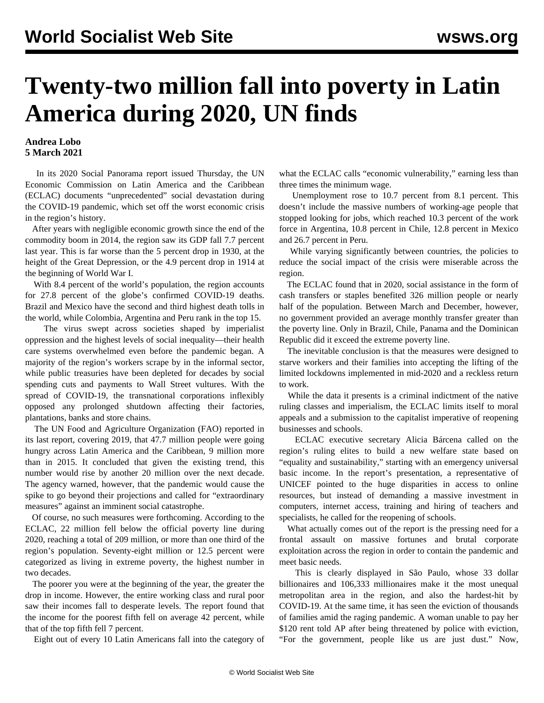## **Twenty-two million fall into poverty in Latin America during 2020, UN finds**

## **Andrea Lobo 5 March 2021**

 In its 2020 Social Panorama report issued Thursday, the UN Economic Commission on Latin America and the Caribbean (ECLAC) documents "unprecedented" social devastation during the COVID-19 pandemic, which set off the worst economic crisis in the region's history.

 After years with negligible economic growth since the end of the commodity boom in 2014, the region saw its GDP fall 7.7 percent last year. This is far worse than the 5 percent drop in 1930, at the height of the Great Depression, or the 4.9 percent drop in 1914 at the beginning of World War I.

With 8.4 percent of the world's population, the region accounts for 27.8 percent of the globe's confirmed COVID-19 deaths. Brazil and Mexico have the second and third highest death tolls in the world, while Colombia, Argentina and Peru rank in the top 15.

 The virus swept across societies shaped by imperialist oppression and the highest levels of social inequality—their health care systems overwhelmed even before the pandemic began. A majority of the region's workers scrape by in the informal sector, while public treasuries have been depleted for decades by social spending cuts and payments to Wall Street vultures. With the spread of COVID-19, the transnational corporations inflexibly opposed any prolonged shutdown affecting their factories, plantations, banks and store chains.

 The UN Food and Agriculture Organization (FAO) reported in its last report, covering 2019, that 47.7 million people were going hungry across Latin America and the Caribbean, 9 million more than in 2015. It concluded that given the existing trend, this number would rise by another 20 million over the next decade. The agency warned, however, that the pandemic would cause the spike to go beyond their projections and called for "extraordinary measures" against an imminent social catastrophe.

 Of course, no such measures were forthcoming. According to the ECLAC, 22 million fell below the official poverty line during 2020, reaching a total of 209 million, or more than one third of the region's population. Seventy-eight million or 12.5 percent were categorized as living in extreme poverty, the highest number in two decades.

 The poorer you were at the beginning of the year, the greater the drop in income. However, the entire working class and rural poor saw their incomes fall to desperate levels. The report found that the income for the poorest fifth fell on average 42 percent, while that of the top fifth fell 7 percent.

Eight out of every 10 Latin Americans fall into the category of

what the ECLAC calls "economic vulnerability," earning less than three times the minimum wage.

 Unemployment rose to 10.7 percent from 8.1 percent. This doesn't include the massive numbers of working-age people that stopped looking for jobs, which reached 10.3 percent of the work force in Argentina, 10.8 percent in Chile, 12.8 percent in Mexico and 26.7 percent in Peru.

While varying significantly between countries, the policies to reduce the social impact of the crisis were miserable across the region.

 The ECLAC found that in 2020, social assistance in the form of cash transfers or staples benefited 326 million people or nearly half of the population. Between March and December, however, no government provided an average monthly transfer greater than the poverty line. Only in Brazil, Chile, Panama and the Dominican Republic did it exceed the extreme poverty line.

 The inevitable conclusion is that the measures were designed to starve workers and their families into accepting the lifting of the limited lockdowns implemented in mid-2020 and a reckless return to work.

 While the data it presents is a criminal indictment of the native ruling classes and imperialism, the ECLAC limits itself to moral appeals and a submission to the capitalist imperative of reopening businesses and schools.

 ECLAC executive secretary Alicia Bárcena called on the region's ruling elites to build a new welfare state based on "equality and sustainability," starting with an emergency universal basic income. In the report's presentation, a representative of UNICEF pointed to the huge disparities in access to online resources, but instead of demanding a massive investment in computers, internet access, training and hiring of teachers and specialists, he called for the reopening of schools.

 What actually comes out of the report is the pressing need for a frontal assault on massive fortunes and brutal corporate exploitation across the region in order to contain the pandemic and meet basic needs.

 This is clearly displayed in São Paulo, whose 33 dollar billionaires and 106,333 millionaires make it the most unequal metropolitan area in the region, and also the hardest-hit by COVID-19. At the same time, it has seen the eviction of thousands of families amid the raging pandemic. A woman unable to pay her \$120 rent told AP after being threatened by police with eviction, "For the government, people like us are just dust." Now,